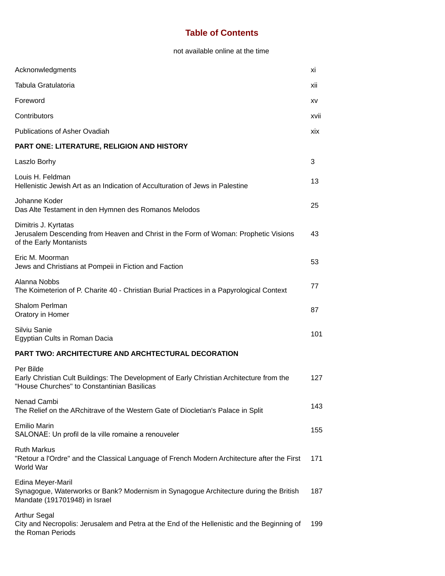## **Table of Contents**

not available online at the time

| Acknonwledgments                                                                                                                                     | хi   |
|------------------------------------------------------------------------------------------------------------------------------------------------------|------|
| Tabula Gratulatoria                                                                                                                                  | xii  |
| Foreword                                                                                                                                             | XV   |
| Contributors                                                                                                                                         | xvii |
| <b>Publications of Asher Ovadiah</b>                                                                                                                 | xix  |
| PART ONE: LITERATURE, RELIGION AND HISTORY                                                                                                           |      |
| Laszlo Borhy                                                                                                                                         | 3    |
| Louis H. Feldman<br>Hellenistic Jewish Art as an Indication of Acculturation of Jews in Palestine                                                    | 13   |
| Johanne Koder<br>Das Alte Testament in den Hymnen des Romanos Melodos                                                                                | 25   |
| Dimitris J. Kyrtatas<br>Jerusalem Descending from Heaven and Christ in the Form of Woman: Prophetic Visions<br>of the Early Montanists               | 43   |
| Eric M. Moorman<br>Jews and Christians at Pompeii in Fiction and Faction                                                                             | 53   |
| Alanna Nobbs<br>The Koimeterion of P. Charite 40 - Christian Burial Practices in a Papyrological Context                                             | 77   |
| Shalom Perlman<br>Oratory in Homer                                                                                                                   | 87   |
| Silviu Sanie<br>Egyptian Cults in Roman Dacia                                                                                                        | 101  |
| <b>PART TWO: ARCHITECTURE AND ARCHTECTURAL DECORATION</b>                                                                                            |      |
| Per Bilde<br>Early Christian Cult Buildings: The Development of Early Christian Architecture from the<br>"House Churches" to Constantinian Basilicas | 127  |
| Nenad Cambi<br>The Relief on the ARchitrave of the Western Gate of Diocletian's Palace in Split                                                      | 143  |
| <b>Emilio Marin</b><br>SALONAE: Un profil de la ville romaine a renouveler                                                                           | 155  |
| <b>Ruth Markus</b><br>"Retour a l'Ordre" and the Classical Language of French Modern Architecture after the First<br>World War                       | 171  |
| Edina Meyer-Maril<br>Synagogue, Waterworks or Bank? Modernism in Synagogue Architecture during the British<br>Mandate (191701948) in Israel          | 187  |
| <b>Arthur Segal</b><br>City and Necropolis: Jerusalem and Petra at the End of the Hellenistic and the Beginning of<br>the Roman Periods              | 199  |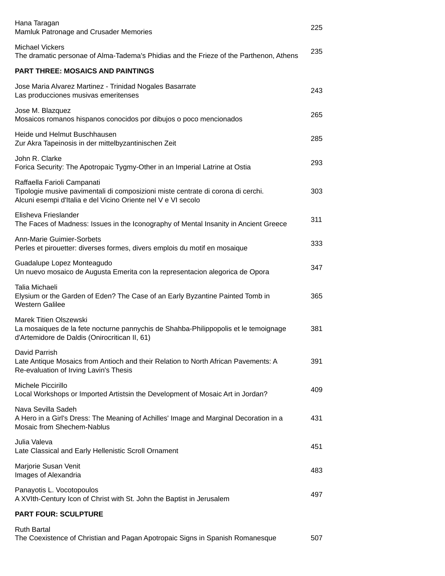| Hana Taragan<br>Mamluk Patronage and Crusader Memories                                                                                                                           | 225 |
|----------------------------------------------------------------------------------------------------------------------------------------------------------------------------------|-----|
| <b>Michael Vickers</b><br>The dramatic personae of Alma-Tadema's Phidias and the Frieze of the Parthenon, Athens                                                                 | 235 |
| <b>PART THREE: MOSAICS AND PAINTINGS</b>                                                                                                                                         |     |
| Jose Maria Alvarez Martinez - Trinidad Nogales Basarrate<br>Las producciones musivas emeritenses                                                                                 | 243 |
| Jose M. Blazquez<br>Mosaicos romanos hispanos conocidos por dibujos o poco mencionados                                                                                           | 265 |
| Heide und Helmut Buschhausen<br>Zur Akra Tapeinosis in der mittelbyzantinischen Zeit                                                                                             | 285 |
| John R. Clarke<br>Forica Security: The Apotropaic Tygmy-Other in an Imperial Latrine at Ostia                                                                                    | 293 |
| Raffaella Farioli Campanati<br>Tipologie musive pavimentali di composizioni miste centrate di corona di cerchi.<br>Alcuni esempi d'Italia e del Vicino Oriente nel V e VI secolo | 303 |
| Elisheva Frieslander<br>The Faces of Madness: Issues in the Iconography of Mental Insanity in Ancient Greece                                                                     | 311 |
| <b>Ann-Marie Guimier-Sorbets</b><br>Perles et pirouetter: diverses formes, divers emplois du motif en mosaique                                                                   | 333 |
| Guadalupe Lopez Monteagudo<br>Un nuevo mosaico de Augusta Emerita con la representacion alegorica de Opora                                                                       | 347 |
| Talia Michaeli<br>Elysium or the Garden of Eden? The Case of an Early Byzantine Painted Tomb in<br><b>Western Galilee</b>                                                        | 365 |
| Marek Titien Olszewski<br>La mosaiques de la fete nocturne pannychis de Shahba-Philippopolis et le temoignage<br>d'Artemidore de Daldis (Onirocritican II, 61)                   | 381 |
| David Parrish<br>Late Antique Mosaics from Antioch and their Relation to North African Pavements: A<br>Re-evaluation of Irving Lavin's Thesis                                    | 391 |
| Michele Piccirillo<br>Local Workshops or Imported Artistsin the Development of Mosaic Art in Jordan?                                                                             | 409 |
| Nava Sevilla Sadeh<br>A Hero in a Girl's Dress: The Meaning of Achilles' Image and Marginal Decoration in a<br>Mosaic from Shechem-Nablus                                        | 431 |
| Julia Valeva<br>Late Classical and Early Hellenistic Scroll Ornament                                                                                                             | 451 |
| Marjorie Susan Venit<br>Images of Alexandria                                                                                                                                     | 483 |
| Panayotis L. Vocotopoulos<br>A XVIth-Century Icon of Christ with St. John the Baptist in Jerusalem                                                                               | 497 |
| <b>PART FOUR: SCULPTURE</b>                                                                                                                                                      |     |
| <b>Ruth Bartal</b>                                                                                                                                                               |     |

The Coexistence of Christian and Pagan Apotropaic Signs in Spanish Romanesque 507